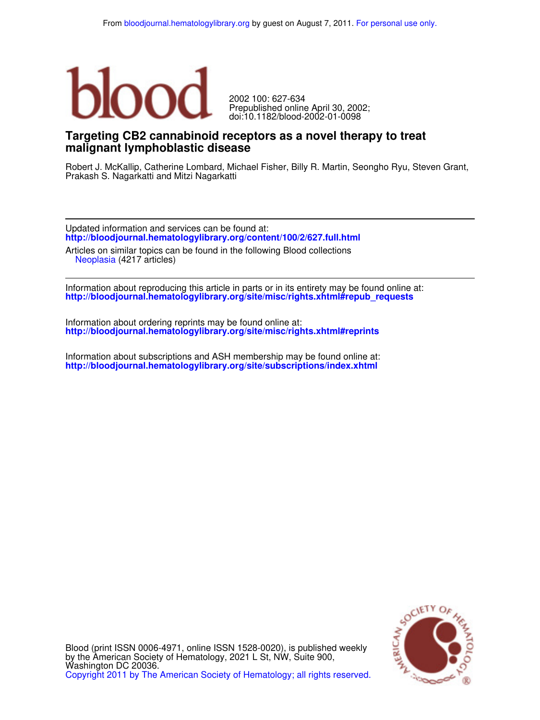

doi:10.1182/blood-2002-01-0098 Prepublished online April 30, 2002; 2002 100: 627-634

# **malignant lymphoblastic disease Targeting CB2 cannabinoid receptors as a novel therapy to treat**

Prakash S. Nagarkatti and Mitzi Nagarkatti Robert J. McKallip, Catherine Lombard, Michael Fisher, Billy R. Martin, Seongho Ryu, Steven Grant,

**http://bloodjournal.hematologylibrary.org/content/100/2/627.full.html** Updated information and services can be found at:

 Neoplasia (4217 articles) Articles on similar topics can be found in the following Blood collections

**http://bloodjournal.hematologylibrary.org/site/misc/rights.xhtml#repub\_requests** Information about reproducing this article in parts or in its entirety may be found online at:

**http://bloodjournal.hematologylibrary.org/site/misc/rights.xhtml#reprints** Information about ordering reprints may be found online at:

**http://bloodjournal.hematologylibrary.org/site/subscriptions/index.xhtml** Information about subscriptions and ASH membership may be found online at:



Copyright 2011 by The American Society of Hematology; all rights reserved. Washington DC 20036. by the American Society of Hematology, 2021 L St, NW, Suite 900, Blood (print ISSN 0006-4971, online ISSN 1528-0020), is published weekly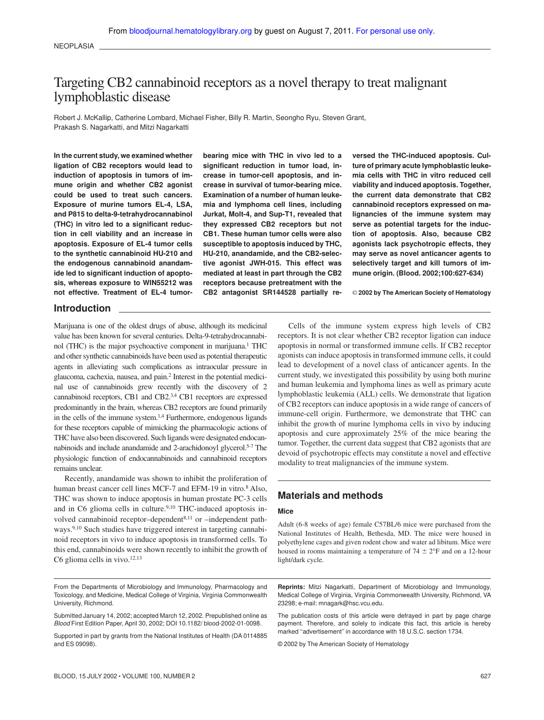# Targeting CB2 cannabinoid receptors as a novel therapy to treat malignant lymphoblastic disease

Robert J. McKallip, Catherine Lombard, Michael Fisher, Billy R. Martin, Seongho Ryu, Steven Grant, Prakash S. Nagarkatti, and Mitzi Nagarkatti

**In the current study, we examined whether ligation of CB2 receptors would lead to induction of apoptosis in tumors of immune origin and whether CB2 agonist could be used to treat such cancers. Exposure of murine tumors EL-4, LSA, and P815 to delta-9-tetrahydrocannabinol (THC) in vitro led to a significant reduction in cell viability and an increase in apoptosis. Exposure of EL-4 tumor cells to the synthetic cannabinoid HU-210 and the endogenous cannabinoid anandamide led to significant induction of apoptosis, whereas exposure to WIN55212 was not effective. Treatment of EL-4 tumor-** **bearing mice with THC in vivo led to a significant reduction in tumor load, increase in tumor-cell apoptosis, and increase in survival of tumor-bearing mice. Examination of a number of human leukemia and lymphoma cell lines, including Jurkat, Molt-4, and Sup-T1, revealed that they expressed CB2 receptors but not CB1. These human tumor cells were also susceptible to apoptosis induced by THC, HU-210, anandamide, and the CB2-selective agonist JWH-015. This effect was mediated at least in part through the CB2 receptors because pretreatment with the CB2 antagonist SR144528 partially re-**

**versed the THC-induced apoptosis. Culture of primary acute lymphoblastic leukemia cells with THC in vitro reduced cell viability and induced apoptosis. Together, the current data demonstrate that CB2 cannabinoid receptors expressed on malignancies of the immune system may serve as potential targets for the induction of apoptosis. Also, because CB2 agonists lack psychotropic effects, they may serve as novel anticancer agents to selectively target and kill tumors of immune origin. (Blood. 2002;100:627-634)**

© **2002 by The American Society of Hematology**

#### **Introduction**

Marijuana is one of the oldest drugs of abuse, although its medicinal value has been known for several centuries. Delta-9-tetrahydrocannabinol (THC) is the major psychoactive component in marijuana.<sup>1</sup> THC and other synthetic cannabinoids have been used as potential therapeutic agents in alleviating such complications as intraocular pressure in glaucoma, cachexia, nausea, and pain.<sup>2</sup> Interest in the potential medicinal use of cannabinoids grew recently with the discovery of 2 cannabinoid receptors, CB1 and CB2.3,4 CB1 receptors are expressed predominantly in the brain, whereas CB2 receptors are found primarily in the cells of the immune system.<sup>1,4</sup> Furthermore, endogenous ligands for these receptors capable of mimicking the pharmacologic actions of THC have also been discovered. Such ligands were designated endocannabinoids and include anandamide and 2-arachidonoyl glycerol.5-7 The physiologic function of endocannabinoids and cannabinoid receptors remains unclear.

Recently, anandamide was shown to inhibit the proliferation of human breast cancer cell lines MCF-7 and EFM-19 in vitro.<sup>8</sup> Also, THC was shown to induce apoptosis in human prostate PC-3 cells and in  $C6$  glioma cells in culture.<sup>9,10</sup> THC-induced apoptosis involved cannabinoid receptor-dependent $8,11$  or -independent pathways.<sup>9,10</sup> Such studies have triggered interest in targeting cannabinoid receptors in vivo to induce apoptosis in transformed cells. To this end, cannabinoids were shown recently to inhibit the growth of C6 glioma cells in vivo. $12,13$ 

Cells of the immune system express high levels of CB2 receptors. It is not clear whether CB2 receptor ligation can induce apoptosis in normal or transformed immune cells. If CB2 receptor agonists can induce apoptosis in transformed immune cells, it could lead to development of a novel class of anticancer agents. In the current study, we investigated this possibility by using both murine and human leukemia and lymphoma lines as well as primary acute lymphoblastic leukemia (ALL) cells. We demonstrate that ligation of CB2 receptors can induce apoptosis in a wide range of cancers of immune-cell origin. Furthermore, we demonstrate that THC can inhibit the growth of murine lymphoma cells in vivo by inducing apoptosis and cure approximately 25% of the mice bearing the tumor. Together, the current data suggest that CB2 agonists that are devoid of psychotropic effects may constitute a novel and effective modality to treat malignancies of the immune system.

# **Materials and methods**

#### **Mice**

Adult (6-8 weeks of age) female C57BL/6 mice were purchased from the National Institutes of Health, Bethesda, MD. The mice were housed in polyethylene cages and given rodent chow and water ad libitum. Mice were housed in rooms maintaining a temperature of  $74 \pm 2$ °F and on a 12-hour light/dark cycle.

From the Departments of Microbiology and Immunology, Pharmacology and Toxicology, and Medicine, Medical College of Virginia, Virginia Commonwealth University, Richmond.

Supported in part by grants from the National Institutes of Health (DA 0114885 and ES 09098).

**Reprints:** Mitzi Nagarkatti, Department of Microbiology and Immunology, Medical College of Virginia, Virginia Commonwealth University, Richmond, VA 23298; e-mail: mnagark@hsc.vcu.edu.

The publication costs of this article were defrayed in part by page charge payment. Therefore, and solely to indicate this fact, this article is hereby marked "advertisement" in accordance with 18 U.S.C. section 1734.

© 2002 by The American Society of Hematology

Submitted January 14, 2002; accepted March 12, 2002. Prepublished online as Blood First Edition Paper, April 30, 2002; DOI 10.1182/ blood-2002-01-0098.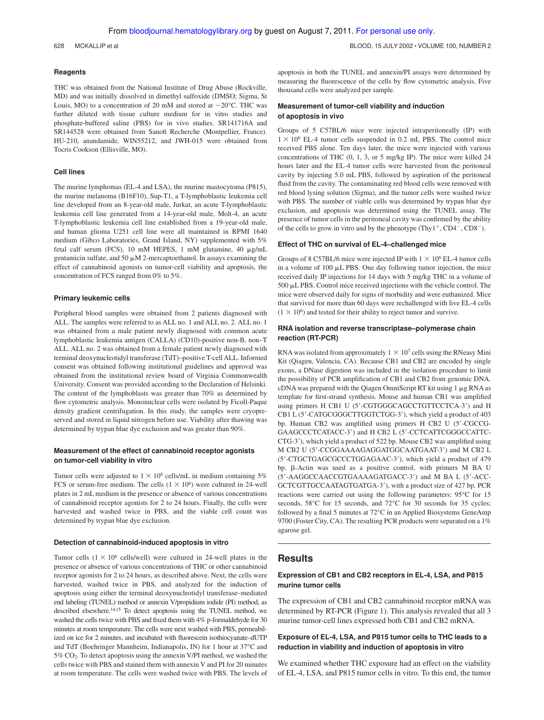628 MCKALLIP et al BLOOD, 15 JULY 2002 VOLUME 100, NUMBER 2

#### **Reagents**

THC was obtained from the National Institute of Drug Abuse (Rockville, MD) and was initially dissolved in dimethyl sulfoxide (DMSO; Sigma, St Louis, MO) to a concentration of 20 mM and stored at  $-20^{\circ}$ C. THC was further diluted with tissue culture medium for in vitro studies and phosphate-buffered saline (PBS) for in vivo studies. SR141716A and SR144528 were obtained from Sanofi Recherche (Montpellier, France). HU-210, anandamide, WIN55212, and JWH-015 were obtained from Tocris Cookson (Ellisville, MO).

#### **Cell lines**

The murine lymphomas (EL-4 and LSA), the murine mastocytoma (P815), the murine melanoma (B16F10), Sup-T1, a T-lymphoblastic leukemia cell line developed from an 8-year-old male, Jurkat, an acute T-lymphoblastic leukemia cell line generated from a 14-year-old male, Molt-4, an acute T-lymphoblastic leukemia cell line established from a 19-year-old male, and human glioma U251 cell line were all maintained in RPMI 1640 medium (Gibco Laboratories, Grand Island, NY) supplemented with 5% fetal calf serum (FCS), 10 mM HEPES, 1 mM glutamine, 40  $\mu$ g/mL gentamicin sulfate, and 50  $\mu$ M 2-mercaptoethanol. In assays examining the effect of cannabinoid agonists on tumor-cell viability and apoptosis, the concentration of FCS ranged from 0% to 5%.

#### **Primary leukemic cells**

Peripheral blood samples were obtained from 2 patients diagnosed with ALL. The samples were referred to as ALL no. 1 and ALL no. 2. ALL no. 1 was obtained from a male patient newly diagnosed with common acute lymphoblastic leukemia antigen (CALLA) (CD10)-positive non-B, non–T ALL. ALL no. 2 was obtained from a female patient newly diagnosed with terminal deoxynucleotidyl transferase (TdT)–positive T-cell ALL. Informed consent was obtained following institutional guidelines and approval was obtained from the institutional review board of Virginia Commonwealth University. Consent was provided according to the Declaration of Helsinki. The content of the lymphoblasts was greater than 70% as determined by flow cytometric analysis. Mononuclear cells were isolated by Ficoll-Paque density gradient centrifugation. In this study, the samples were cryopreserved and stored in liquid nitrogen before use. Viability after thawing was determined by trypan blue dye exclusion and was greater than 90%.

#### **Measurement of the effect of cannabinoid receptor agonists on tumor-cell viability in vitro**

Tumor cells were adjusted to  $1 \times 10^6$  cells/mL in medium containing 5% FCS or serum-free medium. The cells  $(1 \times 10^6)$  were cultured in 24-well plates in 2 mL medium in the presence or absence of various concentrations of cannabinoid receptor agonists for 2 to 24 hours. Finally, the cells were harvested and washed twice in PBS, and the viable cell count was determined by trypan blue dye exclusion.

#### **Detection of cannabinoid-induced apoptosis in vitro**

Tumor cells  $(1 \times 10^6 \text{ cells/well})$  were cultured in 24-well plates in the presence or absence of various concentrations of THC or other cannabinoid receptor agonists for 2 to 24 hours, as described above. Next, the cells were harvested, washed twice in PBS, and analyzed for the induction of apoptosis using either the terminal deoxynucleotidyl transferase–mediated end labeling (TUNEL) method or annexin V/propidium iodide (PI) method, as described elsewhere.14,15 To detect apoptosis using the TUNEL method, we washed the cells twice with PBS and fixed them with 4% p-formaldehyde for 30 minutes at room temperature. The cells were next washed with PBS, permeabilized on ice for 2 minutes, and incubated with fluorescein isothiocyanate–dUTP and TdT (Boehringer Mannheim, Indianapolis, IN) for 1 hour at 37°C and  $5\%$  CO<sub>2</sub>. To detect apoptosis using the annexin V/PI method, we washed the cells twice with PBS and stained them with annexin V and PI for 20 minutes at room temperature. The cells were washed twice with PBS. The levels of apoptosis in both the TUNEL and annexin/PI assays were determined by measuring the fluorescence of the cells by flow cytometric analysis. Five thousand cells were analyzed per sample.

## **Measurement of tumor-cell viability and induction of apoptosis in vivo**

Groups of 5 C57BL/6 mice were injected intraperitoneally (IP) with  $1 \times 10^6$  EL-4 tumor cells suspended in 0.2 mL PBS. The control mice received PBS alone. Ten days later, the mice were injected with various concentrations of THC (0, 1, 3, or 5 mg/kg IP). The mice were killed 24 hours later and the EL-4 tumor cells were harvested from the peritoneal cavity by injecting 5.0 mL PBS, followed by aspiration of the peritoneal fluid from the cavity. The contaminating red blood cells were removed with red blood lysing solution (Sigma), and the tumor cells were washed twice with PBS. The number of viable cells was determined by trypan blue dye exclusion, and apoptosis was determined using the TUNEL assay. The presence of tumor cells in the peritoneal cavity was confirmed by the ability of the cells to grow in vitro and by the phenotype  $(Thy1<sup>+</sup>, CD4<sup>-</sup>, CD8<sup>-</sup>)$ .

#### **Effect of THC on survival of EL-4–challenged mice**

Groups of 8 C57BL/6 mice were injected IP with  $1 \times 10^6$  EL-4 tumor cells in a volume of  $100 \mu L$  PBS. One day following tumor injection, the mice received daily IP injections for 14 days with 5 mg/kg THC in a volume of 500 µL PBS. Control mice received injections with the vehicle control. The mice were observed daily for signs of morbidity and were euthanized. Mice that survived for more than 60 days were rechallenged with live EL-4 cells  $(1 \times 10^6)$  and tested for their ability to reject tumor and survive.

#### **RNA isolation and reverse transcriptase–polymerase chain reaction (RT-PCR)**

RNA was isolated from approximately  $1 \times 10^7$  cells using the RNeasy Mini Kit (Qiagen, Valencia, CA). Because CB1 and CB2 are encoded by single exons, a DNase digestion was included in the isolation procedure to limit the possibility of PCR amplification of CB1 and CB2 from genomic DNA. cDNA was prepared with the Qiagen OmniScript RT kit using  $1 \mu$ g RNA as template for first-strand synthesis. Mouse and human CB1 was amplified using primers H CB1 U (5'-CGTGGGCAGCCTGTTCCTCA-3') and H CB1 L (5'-CATGCGGGCTTGGTCTGG-3'), which yield a product of 403 bp. Human CB2 was amplified using primers H CB2 U (5-CGCCG-GAAGCCCTCATACC-3) and H CB2 L (5-CCTCATTCGGGCCATTC-CTG-3), which yield a product of 522 bp. Mouse CB2 was amplified using M CB2 U (5-CCGGAAAAGAGGATGGCAATGAAT-3) and M CB2 L (5'-CTGCTGAGCGCCCTGGAGAAC-3'), which yield a product of 479 bp.  $\beta$ -Actin was used as a positive control, with primers M BA U (5-AAGGCCAACCGTGAAAAGATGACC-3) and M BA L (5-ACC-GCTCGTTGCCAATAGTGATGA-3), with a product size of 427 bp. PCR reactions were carried out using the following parameters: 95°C for 15 seconds, 58°C for 15 seconds, and 72°C for 30 seconds for 35 cycles; followed by a final 5 minutes at 72°C in an Applied Biosystems GeneAmp 9700 (Foster City, CA). The resulting PCR products were separated on a 1% agarose gel.

## **Results**

### **Expression of CB1 and CB2 receptors in EL-4, LSA, and P815 murine tumor cells**

The expression of CB1 and CB2 cannabinoid receptor mRNA was determined by RT-PCR (Figure 1). This analysis revealed that all 3 murine tumor-cell lines expressed both CB1 and CB2 mRNA.

## **Exposure of EL-4, LSA, and P815 tumor cells to THC leads to a reduction in viability and induction of apoptosis in vitro**

We examined whether THC exposure had an effect on the viability of EL-4, LSA, and P815 tumor cells in vitro. To this end, the tumor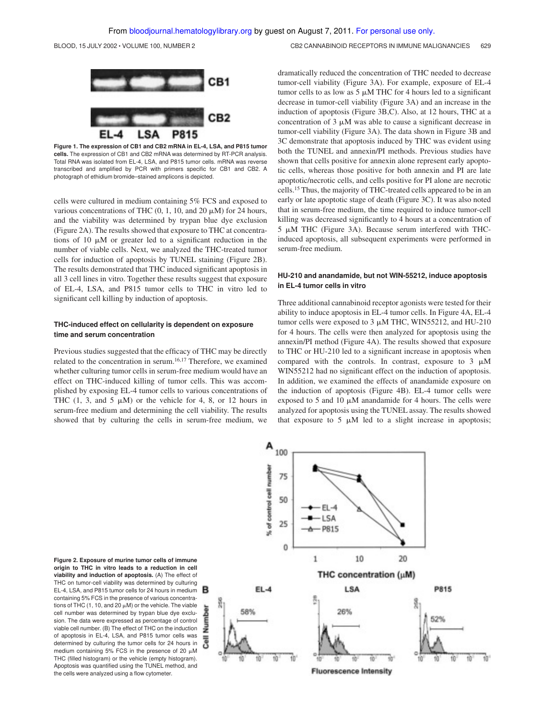A 100

BLOOD, 15 JULY 2002 • VOLUME 100, NUMBER 2 CONTROL CONTROL CONTROL CONTROLLER CHANNABINOID RECEPTORS IN IMMUNE MALIGNANCIES 629



**Figure 1. The expression of CB1 and CB2 mRNA in EL-4, LSA, and P815 tumor cells.** The expression of CB1 and CB2 mRNA was determined by RT-PCR analysis. Total RNA was isolated from EL-4, LSA, and P815 tumor cells. mRNA was reverse transcribed and amplified by PCR with primers specific for CB1 and CB2. A photograph of ethidium bromide–stained amplicons is depicted.

cells were cultured in medium containing 5% FCS and exposed to various concentrations of THC  $(0, 1, 10, \text{ and } 20 \mu M)$  for 24 hours, and the viability was determined by trypan blue dye exclusion (Figure 2A). The results showed that exposure to THC at concentrations of 10  $\mu$ M or greater led to a significant reduction in the number of viable cells. Next, we analyzed the THC-treated tumor cells for induction of apoptosis by TUNEL staining (Figure 2B). The results demonstrated that THC induced significant apoptosis in all 3 cell lines in vitro. Together these results suggest that exposure of EL-4, LSA, and P815 tumor cells to THC in vitro led to significant cell killing by induction of apoptosis.

## **THC-induced effect on cellularity is dependent on exposure time and serum concentration**

Previous studies suggested that the efficacy of THC may be directly related to the concentration in serum.16,17 Therefore, we examined whether culturing tumor cells in serum-free medium would have an effect on THC-induced killing of tumor cells. This was accomplished by exposing EL-4 tumor cells to various concentrations of THC  $(1, 3, and 5 \mu M)$  or the vehicle for 4, 8, or 12 hours in serum-free medium and determining the cell viability. The results showed that by culturing the cells in serum-free medium, we

dramatically reduced the concentration of THC needed to decrease tumor-cell viability (Figure 3A). For example, exposure of EL-4 tumor cells to as low as  $5 \mu M$  THC for 4 hours led to a significant decrease in tumor-cell viability (Figure 3A) and an increase in the induction of apoptosis (Figure 3B,C). Also, at 12 hours, THC at a concentration of  $3 \mu M$  was able to cause a significant decrease in tumor-cell viability (Figure 3A). The data shown in Figure 3B and 3C demonstrate that apoptosis induced by THC was evident using both the TUNEL and annexin/PI methods. Previous studies have shown that cells positive for annexin alone represent early apoptotic cells, whereas those positive for both annexin and PI are late apoptotic/necrotic cells, and cells positive for PI alone are necrotic cells.<sup>15</sup> Thus, the majority of THC-treated cells appeared to be in an early or late apoptotic stage of death (Figure 3C). It was also noted that in serum-free medium, the time required to induce tumor-cell killing was decreased significantly to 4 hours at a concentration of  $5 \mu M$  THC (Figure 3A). Because serum interfered with THCinduced apoptosis, all subsequent experiments were performed in serum-free medium.

## **HU-210 and anandamide, but not WIN-55212, induce apoptosis in EL-4 tumor cells in vitro**

Three additional cannabinoid receptor agonists were tested for their ability to induce apoptosis in EL-4 tumor cells. In Figure 4A, EL-4 tumor cells were exposed to  $3 \mu$ M THC, WIN55212, and HU-210 for 4 hours. The cells were then analyzed for apoptosis using the annexin/PI method (Figure 4A). The results showed that exposure to THC or HU-210 led to a significant increase in apoptosis when compared with the controls. In contrast, exposure to  $3 \mu M$ WIN55212 had no significant effect on the induction of apoptosis. In addition, we examined the effects of anandamide exposure on the induction of apoptosis (Figure 4B). EL-4 tumor cells were exposed to 5 and 10  $\mu$ M anandamide for 4 hours. The cells were analyzed for apoptosis using the TUNEL assay. The results showed that exposure to 5  $\mu$ M led to a slight increase in apoptosis;



**Figure 2. Exposure of murine tumor cells of immune origin to THC in vitro leads to a reduction in cell viability and induction of apoptosis.** (A) The effect of THC on tumor-cell viability was determined by culturing EL-4, LSA, and P815 tumor cells for 24 hours in medium containing 5% FCS in the presence of various concentrations of THC (1, 10, and 20  $\mu$ M) or the vehicle. The viable cell number was determined by trypan blue dye exclusion. The data were expressed as percentage of control viable cell number. (B) The effect of THC on the induction of apoptosis in EL-4, LSA, and P815 tumor cells was determined by culturing the tumor cells for 24 hours in medium containing 5% FCS in the presence of 20  $\mu$ M THC (filled histogram) or the vehicle (empty histogram). Apoptosis was quantified using the TUNEL method, and the cells were analyzed using a flow cytometer.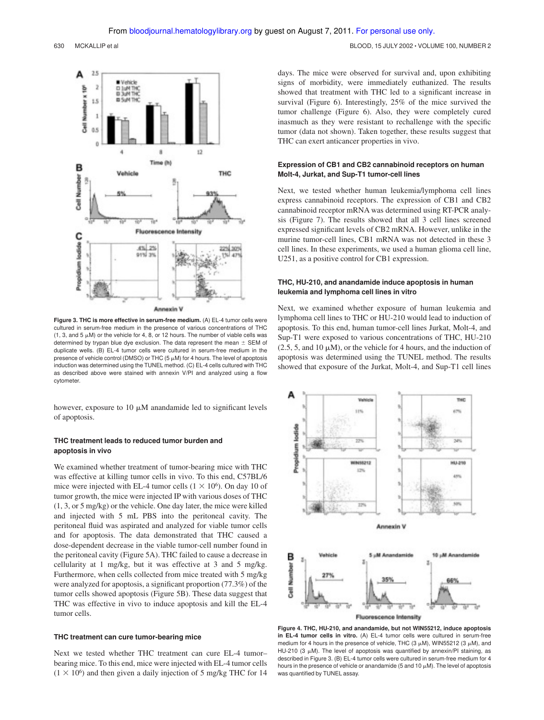

**Figure 3. THC is more effective in serum-free medium.** (A) EL-4 tumor cells were cultured in serum-free medium in the presence of various concentrations of THC (1, 3, and 5  $\mu$ M) or the vehicle for 4, 8, or 12 hours. The number of viable cells was determined by trypan blue dye exclusion. The data represent the mean  $\pm$  SEM of duplicate wells. (B) EL-4 tumor cells were cultured in serum-free medium in the presence of vehicle control (DMSO) or THC (5  $\mu$ M) for 4 hours. The level of apoptosis induction was determined using the TUNEL method. (C) EL-4 cells cultured with THC as described above were stained with annexin V/PI and analyzed using a flow cytometer.

however, exposure to  $10 \mu M$  anandamide led to significant levels of apoptosis.

#### **THC treatment leads to reduced tumor burden and apoptosis in vivo**

We examined whether treatment of tumor-bearing mice with THC was effective at killing tumor cells in vivo. To this end, C57BL/6 mice were injected with EL-4 tumor cells  $(1 \times 10^6)$ . On day 10 of tumor growth, the mice were injected IP with various doses of THC (1, 3, or 5 mg/kg) or the vehicle. One day later, the mice were killed and injected with 5 mL PBS into the peritoneal cavity. The peritoneal fluid was aspirated and analyzed for viable tumor cells and for apoptosis. The data demonstrated that THC caused a dose-dependent decrease in the viable tumor-cell number found in the peritoneal cavity (Figure 5A). THC failed to cause a decrease in cellularity at 1 mg/kg, but it was effective at 3 and 5 mg/kg. Furthermore, when cells collected from mice treated with 5 mg/kg were analyzed for apoptosis, a significant proportion (77.3%) of the tumor cells showed apoptosis (Figure 5B). These data suggest that THC was effective in vivo to induce apoptosis and kill the EL-4 tumor cells.

#### **THC treatment can cure tumor-bearing mice**

Next we tested whether THC treatment can cure EL-4 tumor– bearing mice. To this end, mice were injected with EL-4 tumor cells  $(1 \times 10^6)$  and then given a daily injection of 5 mg/kg THC for 14

days. The mice were observed for survival and, upon exhibiting signs of morbidity, were immediately euthanized. The results showed that treatment with THC led to a significant increase in survival (Figure 6). Interestingly, 25% of the mice survived the tumor challenge (Figure 6). Also, they were completely cured inasmuch as they were resistant to rechallenge with the specific tumor (data not shown). Taken together, these results suggest that THC can exert anticancer properties in vivo.

#### **Expression of CB1 and CB2 cannabinoid receptors on human Molt-4, Jurkat, and Sup-T1 tumor-cell lines**

Next, we tested whether human leukemia/lymphoma cell lines express cannabinoid receptors. The expression of CB1 and CB2 cannabinoid receptor mRNA was determined using RT-PCR analysis (Figure 7). The results showed that all 3 cell lines screened expressed significant levels of CB2 mRNA. However, unlike in the murine tumor-cell lines, CB1 mRNA was not detected in these 3 cell lines. In these experiments, we used a human glioma cell line, U251, as a positive control for CB1 expression.

## **THC, HU-210, and anandamide induce apoptosis in human leukemia and lymphoma cell lines in vitro**

Next, we examined whether exposure of human leukemia and lymphoma cell lines to THC or HU-210 would lead to induction of apoptosis. To this end, human tumor-cell lines Jurkat, Molt-4, and Sup-T1 were exposed to various concentrations of THC, HU-210  $(2.5, 5, \text{ and } 10 \mu M)$ , or the vehicle for 4 hours, and the induction of apoptosis was determined using the TUNEL method. The results showed that exposure of the Jurkat, Molt-4, and Sup-T1 cell lines



**Figure 4. THC, HU-210, and anandamide, but not WIN55212, induce apoptosis in EL-4 tumor cells in vitro.** (A) EL-4 tumor cells were cultured in serum-free medium for 4 hours in the presence of vehicle, THC (3  $\mu$ M), WIN55212 (3  $\mu$ M), and HU-210 (3  $\mu$ M). The level of apoptosis was quantified by annexin/PI staining, as described in Figure 3. (B) EL-4 tumor cells were cultured in serum-free medium for 4 hours in the presence of vehicle or anandamide (5 and 10  $\mu$ M). The level of apoptosis was quantified by TUNEL assay.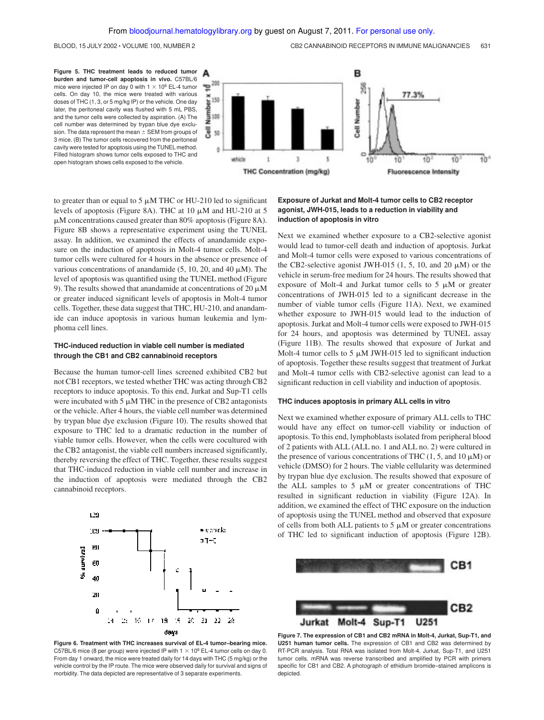**Figure 5. THC treatment leads to reduced tumor burden and tumor-cell apoptosis in vivo.** C57BL/6 mice were injected IP on day 0 with 1  $\times$  10<sup>6</sup> EL-4 tumor cells. On day 10, the mice were treated with various doses of THC (1, 3, or 5 mg/kg IP) or the vehicle. One day later, the peritoneal cavity was flushed with 5 mL PBS, and the tumor cells were collected by aspiration. (A) The cell number was determined by trypan blue dye exclusion. The data represent the mean  $\pm$  SEM from groups of 3 mice. (B) The tumor cells recovered from the peritoneal cavity were tested for apoptosis using the TUNEL method. Filled histogram shows tumor cells exposed to THC and open histogram shows cells exposed to the vehicle.



to greater than or equal to 5  $\mu$ M THC or HU-210 led to significant levels of apoptosis (Figure 8A). THC at 10  $\mu$ M and HU-210 at 5  $\mu$ M concentrations caused greater than 80% apoptosis (Figure 8A). Figure 8B shows a representative experiment using the TUNEL assay. In addition, we examined the effects of anandamide exposure on the induction of apoptosis in Molt-4 tumor cells. Molt-4 tumor cells were cultured for 4 hours in the absence or presence of various concentrations of anandamide  $(5, 10, 20, \text{ and } 40 \mu \text{M})$ . The level of apoptosis was quantified using the TUNEL method (Figure 9). The results showed that anandamide at concentrations of 20  $\mu$ M or greater induced significant levels of apoptosis in Molt-4 tumor cells. Together, these data suggest that THC, HU-210, and anandamide can induce apoptosis in various human leukemia and lymphoma cell lines.

#### **THC-induced reduction in viable cell number is mediated through the CB1 and CB2 cannabinoid receptors**

Because the human tumor-cell lines screened exhibited CB2 but not CB1 receptors, we tested whether THC was acting through CB2 receptors to induce apoptosis. To this end, Jurkat and Sup-T1 cells were incubated with 5  $\mu$ M THC in the presence of CB2 antagonists or the vehicle. After 4 hours, the viable cell number was determined by trypan blue dye exclusion (Figure 10). The results showed that exposure to THC led to a dramatic reduction in the number of viable tumor cells. However, when the cells were cocultured with the CB2 antagonist, the viable cell numbers increased significantly, thereby reversing the effect of THC. Together, these results suggest that THC-induced reduction in viable cell number and increase in the induction of apoptosis were mediated through the CB2 cannabinoid receptors.



**Figure 6. Treatment with THC increases survival of EL-4 tumor–bearing mice.** C57BL/6 mice (8 per group) were injected IP with  $1 \times 10^6$  EL-4 tumor cells on day 0. From day 1 onward, the mice were treated daily for 14 days with THC (5 mg/kg) or the vehicle control by the IP route. The mice were observed daily for survival and signs of morbidity. The data depicted are representative of 3 separate experiments.

## **Exposure of Jurkat and Molt-4 tumor cells to CB2 receptor agonist, JWH-015, leads to a reduction in viability and induction of apoptosis in vitro**

Next we examined whether exposure to a CB2-selective agonist would lead to tumor-cell death and induction of apoptosis. Jurkat and Molt-4 tumor cells were exposed to various concentrations of the CB2-selective agonist JWH-015 (1, 5, 10, and 20  $\mu$ M) or the vehicle in serum-free medium for 24 hours. The results showed that exposure of Molt-4 and Jurkat tumor cells to 5  $\mu$ M or greater concentrations of JWH-015 led to a significant decrease in the number of viable tumor cells (Figure 11A). Next, we examined whether exposure to JWH-015 would lead to the induction of apoptosis. Jurkat and Molt-4 tumor cells were exposed to JWH-015 for 24 hours, and apoptosis was determined by TUNEL assay (Figure 11B). The results showed that exposure of Jurkat and Molt-4 tumor cells to 5  $\mu$ M JWH-015 led to significant induction of apoptosis. Together these results suggest that treatment of Jurkat and Molt-4 tumor cells with CB2-selective agonist can lead to a significant reduction in cell viability and induction of apoptosis.

#### **THC induces apoptosis in primary ALL cells in vitro**

Next we examined whether exposure of primary ALL cells to THC would have any effect on tumor-cell viability or induction of apoptosis. To this end, lymphoblasts isolated from peripheral blood of 2 patients with ALL (ALL no. 1 and ALL no. 2) were cultured in the presence of various concentrations of THC  $(1, 5,$  and  $10 \mu M)$  or vehicle (DMSO) for 2 hours. The viable cellularity was determined by trypan blue dye exclusion. The results showed that exposure of the ALL samples to  $5 \mu M$  or greater concentrations of THC resulted in significant reduction in viability (Figure 12A). In addition, we examined the effect of THC exposure on the induction of apoptosis using the TUNEL method and observed that exposure of cells from both ALL patients to  $5 \mu M$  or greater concentrations of THC led to significant induction of apoptosis (Figure 12B).



**Figure 7. The expression of CB1 and CB2 mRNA in Molt-4, Jurkat, Sup-T1, and U251 human tumor cells.** The expression of CB1 and CB2 was determined by RT-PCR analysis. Total RNA was isolated from Molt-4, Jurkat, Sup-T1, and U251 tumor cells. mRNA was reverse transcribed and amplified by PCR with primers specific for CB1 and CB2. A photograph of ethidium bromide–stained amplicons is depicted.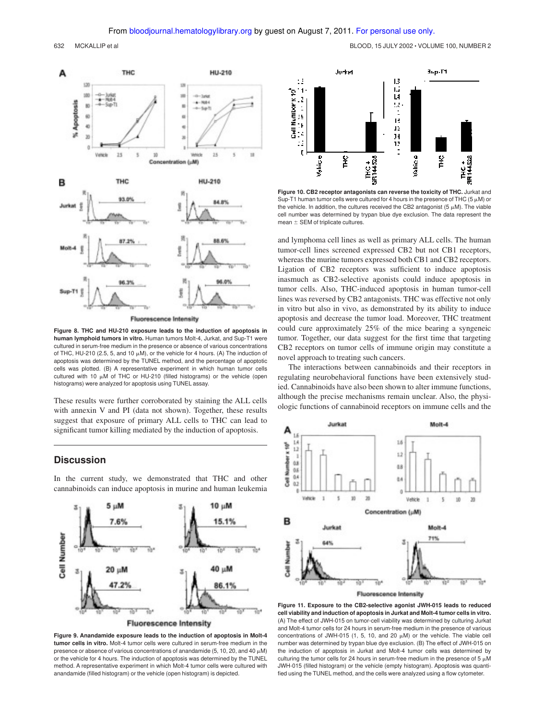

**Fluorescence Intensity** 

**Figure 8. THC and HU-210 exposure leads to the induction of apoptosis in human lymphoid tumors in vitro.** Human tumors Molt-4, Jurkat, and Sup-T1 were cultured in serum-free medium in the presence or absence of various concentrations of THC, HU-210 (2.5, 5, and 10  $\mu$ M), or the vehicle for 4 hours. (A) The induction of apoptosis was determined by the TUNEL method, and the percentage of apoptotic cells was plotted. (B) A representative experiment in which human tumor cells cultured with 10  $\mu$ M of THC or HU-210 (filled histograms) or the vehicle (open histograms) were analyzed for apoptosis using TUNEL assay.

These results were further corroborated by staining the ALL cells with annexin V and PI (data not shown). Together, these results suggest that exposure of primary ALL cells to THC can lead to significant tumor killing mediated by the induction of apoptosis.

## **Discussion**

In the current study, we demonstrated that THC and other cannabinoids can induce apoptosis in murine and human leukemia



**Figure 9. Anandamide exposure leads to the induction of apoptosis in Molt-4 tumor cells in vitro.** Molt-4 tumor cells were cultured in serum-free medium in the presence or absence of various concentrations of anandamide  $(5, 10, 20, \text{ and } 40 \text{ µ})$ or the vehicle for 4 hours. The induction of apoptosis was determined by the TUNEL method. A representative experiment in which Molt-4 tumor cells were cultured with anandamide (filled histogram) or the vehicle (open histogram) is depicted.



**Figure 10. CB2 receptor antagonists can reverse the toxicity of THC.** Jurkat and Sup-T1 human tumor cells were cultured for 4 hours in the presence of THC (5  $\mu$ M) or the vehicle. In addition, the cultures received the CB2 antagonist (5  $\mu$ M). The viable cell number was determined by trypan blue dye exclusion. The data represent the mean  $\pm$  SEM of triplicate cultures.

and lymphoma cell lines as well as primary ALL cells. The human tumor-cell lines screened expressed CB2 but not CB1 receptors, whereas the murine tumors expressed both CB1 and CB2 receptors. Ligation of CB2 receptors was sufficient to induce apoptosis inasmuch as CB2-selective agonists could induce apoptosis in tumor cells. Also, THC-induced apoptosis in human tumor-cell lines was reversed by CB2 antagonists. THC was effective not only in vitro but also in vivo, as demonstrated by its ability to induce apoptosis and decrease the tumor load. Moreover, THC treatment could cure approximately 25% of the mice bearing a syngeneic tumor. Together, our data suggest for the first time that targeting CB2 receptors on tumor cells of immune origin may constitute a novel approach to treating such cancers.

The interactions between cannabinoids and their receptors in regulating neurobehavioral functions have been extensively studied. Cannabinoids have also been shown to alter immune functions, although the precise mechanisms remain unclear. Also, the physiologic functions of cannabinoid receptors on immune cells and the



**Figure 11. Exposure to the CB2-selective agonist JWH-015 leads to reduced cell viability and induction of apoptosis in Jurkat and Molt-4 tumor cells in vitro.** (A) The effect of JWH-015 on tumor-cell viability was determined by culturing Jurkat and Molt-4 tumor cells for 24 hours in serum-free medium in the presence of various concentrations of JWH-015 (1, 5, 10, and 20  $\mu$ M) or the vehicle. The viable cell number was determined by trypan blue dye exclusion. (B) The effect of JWH-015 on the induction of apoptosis in Jurkat and Molt-4 tumor cells was determined by culturing the tumor cells for 24 hours in serum-free medium in the presence of 5  $\mu$ M JWH-015 (filled histogram) or the vehicle (empty histogram). Apoptosis was quantified using the TUNEL method, and the cells were analyzed using a flow cytometer.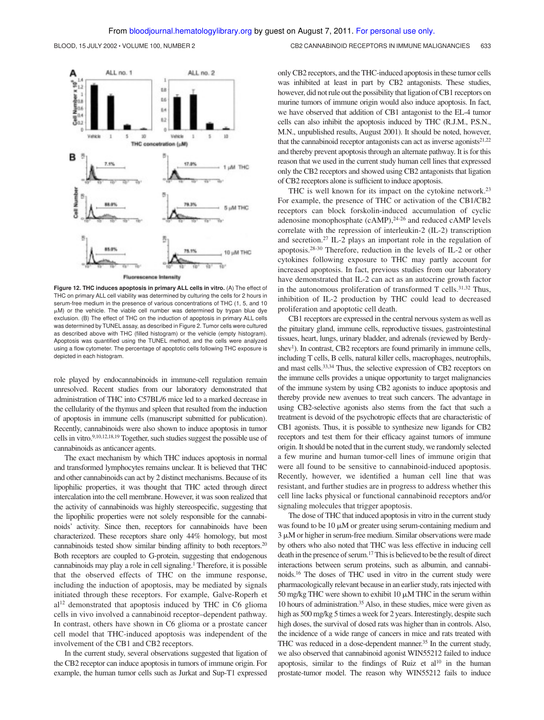BLOOD, 15 JULY 2002 • VOLUME 100, NUMBER 2 CHOOD CONTROL CONTROL CONTROLLER CONTROLLER 633



**Figure 12. THC induces apoptosis in primary ALL cells in vitro.** (A) The effect of THC on primary ALL cell viability was determined by culturing the cells for 2 hours in serum-free medium in the presence of various concentrations of THC (1, 5, and 10 M) or the vehicle. The viable cell number was determined by trypan blue dye exclusion. (B) The effect of THC on the induction of apoptosis in primary ALL cells was determined by TUNEL assay, as described in Figure 2. Tumor cells were cultured as described above with THC (filled histogram) or the vehicle (empty histogram). Apoptosis was quantified using the TUNEL method, and the cells were analyzed using a flow cytometer. The percentage of apoptotic cells following THC exposure is depicted in each histogram.

role played by endocannabinoids in immune-cell regulation remain unresolved. Recent studies from our laboratory demonstrated that administration of THC into C57BL/6 mice led to a marked decrease in the cellularity of the thymus and spleen that resulted from the induction of apoptosis in immune cells (manuscript submitted for publication). Recently, cannabinoids were also shown to induce apoptosis in tumor cells in vitro.<sup>9,10,12,18,19</sup> Together, such studies suggest the possible use of cannabinoids as anticancer agents.

The exact mechanism by which THC induces apoptosis in normal and transformed lymphocytes remains unclear. It is believed that THC and other cannabinoids can act by 2 distinct mechanisms. Because of its lipophilic properties, it was thought that THC acted through direct intercalation into the cell membrane. However, it was soon realized that the activity of cannabinoids was highly stereospecific, suggesting that the lipophilic properties were not solely responsible for the cannabinoids' activity. Since then, receptors for cannabinoids have been characterized. These receptors share only 44% homology, but most cannabinoids tested show similar binding affinity to both receptors.<sup>20</sup> Both receptors are coupled to G-protein, suggesting that endogenous cannabinoids may play a role in cell signaling.<sup>1</sup> Therefore, it is possible that the observed effects of THC on the immune response, including the induction of apoptosis, may be mediated by signals initiated through these receptors. For example, Galve-Roperh et al<sup>12</sup> demonstrated that apoptosis induced by THC in C6 glioma cells in vivo involved a cannabinoid receptor–dependent pathway. In contrast, others have shown in C6 glioma or a prostate cancer cell model that THC-induced apoptosis was independent of the involvement of the CB1 and CB2 receptors.

In the current study, several observations suggested that ligation of the CB2 receptor can induce apoptosis in tumors of immune origin. For example, the human tumor cells such as Jurkat and Sup-T1 expressed only CB2 receptors, and the THC-induced apoptosis in these tumor cells was inhibited at least in part by CB2 antagonists. These studies, however, did not rule out the possibility that ligation of CB1 receptors on murine tumors of immune origin would also induce apoptosis. In fact, we have observed that addition of CB1 antagonist to the EL-4 tumor cells can also inhibit the apoptosis induced by THC (R.J.M., P.S.N., M.N., unpublished results, August 2001). It should be noted, however, that the cannabinoid receptor antagonists can act as inverse agonists $2^{1,22}$ and thereby prevent apoptosis through an alternate pathway. It is for this reason that we used in the current study human cell lines that expressed only the CB2 receptors and showed using CB2 antagonists that ligation of CB2 receptors alone is sufficient to induce apoptosis.

THC is well known for its impact on the cytokine network.<sup>23</sup> For example, the presence of THC or activation of the CB1/CB2 receptors can block forskolin-induced accumulation of cyclic adenosine monophosphate (cAMP),<sup>24-26</sup> and reduced cAMP levels correlate with the repression of interleukin-2 (IL-2) transcription and secretion.<sup>27</sup> IL-2 plays an important role in the regulation of apoptosis.28-30 Therefore, reduction in the levels of IL-2 or other cytokines following exposure to THC may partly account for increased apoptosis. In fact, previous studies from our laboratory have demonstrated that IL-2 can act as an autocrine growth factor in the autonomous proliferation of transformed  $T$  cells.<sup>31,32</sup> Thus, inhibition of IL-2 production by THC could lead to decreased proliferation and apoptotic cell death.

CB1 receptors are expressed in the central nervous system as well as the pituitary gland, immune cells, reproductive tissues, gastrointestinal tissues, heart, lungs, urinary bladder, and adrenals (reviewed by Berdyshev<sup>1</sup>). In contrast, CB2 receptors are found primarily in immune cells, including T cells, B cells, natural killer cells, macrophages, neutrophils, and mast cells.33,34 Thus, the selective expression of CB2 receptors on the immune cells provides a unique opportunity to target malignancies of the immune system by using CB2 agonists to induce apoptosis and thereby provide new avenues to treat such cancers. The advantage in using CB2-selective agonists also stems from the fact that such a treatment is devoid of the psychotropic effects that are characteristic of CB1 agonists. Thus, it is possible to synthesize new ligands for CB2 receptors and test them for their efficacy against tumors of immune origin. It should be noted that in the current study, we randomly selected a few murine and human tumor-cell lines of immune origin that were all found to be sensitive to cannabinoid-induced apoptosis. Recently, however, we identified a human cell line that was resistant, and further studies are in progress to address whether this cell line lacks physical or functional cannabinoid receptors and/or signaling molecules that trigger apoptosis.

The dose of THC that induced apoptosis in vitro in the current study was found to be  $10 \mu M$  or greater using serum-containing medium and  $3 \mu$ M or higher in serum-free medium. Similar observations were made by others who also noted that THC was less effective in inducing cell death in the presence of serum.<sup>17</sup>This is believed to be the result of direct interactions between serum proteins, such as albumin, and cannabinoids.<sup>16</sup> The doses of THC used in vitro in the current study were pharmacologically relevant because in an earlier study, rats injected with 50 mg/kg THC were shown to exhibit 10  $\mu$ M THC in the serum within 10 hours of administration.<sup>35</sup> Also, in these studies, mice were given as high as 500 mg/kg 5 times a week for 2 years. Interestingly, despite such high doses, the survival of dosed rats was higher than in controls. Also, the incidence of a wide range of cancers in mice and rats treated with THC was reduced in a dose-dependent manner.<sup>35</sup> In the current study, we also observed that cannabinoid agonist WIN55212 failed to induce apoptosis, similar to the findings of Ruiz et  $al^{10}$  in the human prostate-tumor model. The reason why WIN55212 fails to induce